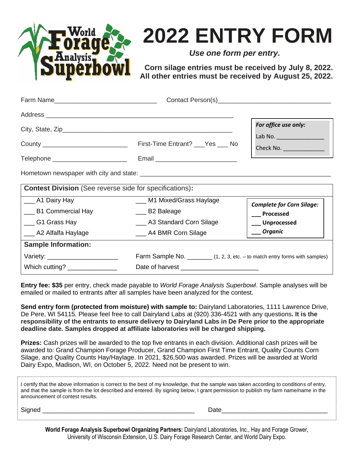

# **2022 ENTRY FORM**

*Use one form per entry.*

**Corn silage entries must be received by July 8, 2022. All other entries must be received by August 25, 2022.**

|                                                                |                                                                                 | For office use only:             |  |  |
|----------------------------------------------------------------|---------------------------------------------------------------------------------|----------------------------------|--|--|
|                                                                |                                                                                 | Lab No. ________________         |  |  |
| County ______________________________                          | First-Time Entrant? ___Yes ___ No                                               | Check No. ________________       |  |  |
| Telephone __________________________                           |                                                                                 |                                  |  |  |
|                                                                |                                                                                 |                                  |  |  |
| <b>Contest Division</b> (See reverse side for specifications): |                                                                                 |                                  |  |  |
| __ A1 Dairy Hay                                                | ___ M1 Mixed/Grass Haylage                                                      | <b>Complete for Corn Silage:</b> |  |  |
| ___ B1 Commercial Hay                                          | __ B2 Baleage                                                                   | Processed                        |  |  |
| ___ G1 Grass Hay                                               | ___ A3 Standard Corn Silage                                                     | __Unprocessed                    |  |  |
| ___ A2 Alfalfa Haylage                                         | ___ A4 BMR Corn Silage                                                          | ___ Organic                      |  |  |
| <b>Sample Information:</b>                                     |                                                                                 |                                  |  |  |
| Variety: _________________________                             | Farm Sample No. ___________ (1, 2, 3, etc. – to match entry forms with samples) |                                  |  |  |
| Which cutting? ________________                                |                                                                                 |                                  |  |  |

**Entry fee: \$35** per entry, check made payable to *World Forage Analysis Superbowl*. Sample analyses will be emailed or mailed to entrants after all samples have been analyzed for the contest.

**Send entry form (protected from moisture) with sample to:** Dairyland Laboratories, 1111 Lawrence Drive, De Pere, WI 54115. Please feel free to call Dairyland Labs at (920) 336-4521 with any questions**. It is the responsibility of the entrants to ensure delivery to Dairyland Labs in De Pere prior to the appropriate deadline date. Samples dropped at affiliate laboratories will be charged shipping.**

**Prizes:** Cash prizes will be awarded to the top five entrants in each division. Additional cash prizes will be awarded to: Grand Champion Forage Producer, Grand Champion First Time Entrant, Quality Counts Corn Silage, and Quality Counts Hay/Haylage. In 2021, \$26,500 was awarded. Prizes will be awarded at World Dairy Expo, Madison, WI, on October 5, 2022. Need not be present to win.

| I certify that the above information is correct to the best of my knowledge, that the sample was taken according to conditions of entry, |
|------------------------------------------------------------------------------------------------------------------------------------------|
| and that the sample is from the lot described and entered. By signing below, I grant permission to publish my farm name/name in the      |
| announcement of contest results.                                                                                                         |

Signed \_\_\_\_\_\_\_\_\_\_\_\_\_\_\_\_\_\_\_\_\_\_\_\_\_\_\_\_\_\_\_\_\_\_\_\_\_\_\_\_\_\_\_ Date\_\_\_\_\_\_\_\_\_\_\_\_\_\_\_\_\_\_\_\_\_\_\_\_\_\_\_\_\_\_

**World Forage Analysis Superbowl Organizing Partners:** Dairyland Laboratories, Inc., Hay and Forage Grower, University of Wisconsin Extension, U.S. Dairy Forage Research Center, and World Dairy Expo.